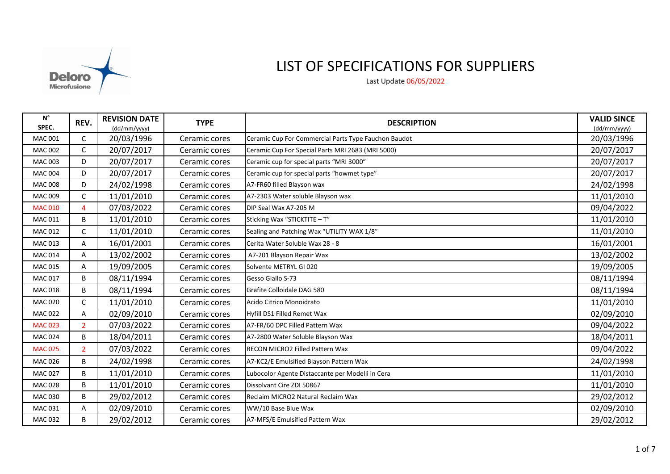

## LIST OF SPECIFICATIONS FOR SUPPLIERS

Last Update 06/05/2022

| $N^{\circ}$<br>SPEC. | REV.           | <b>REVISION DATE</b><br>(dd/mm/yyyy) | <b>TYPE</b>   | <b>DESCRIPTION</b>                                   | <b>VALID SINCE</b><br>(dd/mm/yyyy) |
|----------------------|----------------|--------------------------------------|---------------|------------------------------------------------------|------------------------------------|
| <b>MAC 001</b>       | C              | 20/03/1996                           | Ceramic cores | Ceramic Cup For Commercial Parts Type Fauchon Baudot | 20/03/1996                         |
| <b>MAC 002</b>       | C              | 20/07/2017                           | Ceramic cores | Ceramic Cup For Special Parts MRI 2683 (MRI 5000)    | 20/07/2017                         |
| <b>MAC 003</b>       | D              | 20/07/2017                           | Ceramic cores | Ceramic cup for special parts "MRI 3000"             | 20/07/2017                         |
| <b>MAC 004</b>       | D              | 20/07/2017                           | Ceramic cores | Ceramic cup for special parts "howmet type"          | 20/07/2017                         |
| <b>MAC 008</b>       | D              | 24/02/1998                           | Ceramic cores | A7-FR60 filled Blayson wax                           | 24/02/1998                         |
| <b>MAC 009</b>       | C              | 11/01/2010                           | Ceramic cores | A7-2303 Water soluble Blayson wax                    | 11/01/2010                         |
| <b>MAC 010</b>       | 4              | 07/03/2022                           | Ceramic cores | DIP Seal Wax A7-205 M                                | 09/04/2022                         |
| <b>MAC 011</b>       | B              | 11/01/2010                           | Ceramic cores | Sticking Wax "STICKTITE - T"                         | 11/01/2010                         |
| <b>MAC 012</b>       | C              | 11/01/2010                           | Ceramic cores | Sealing and Patching Wax "UTILITY WAX 1/8"           | 11/01/2010                         |
| <b>MAC 013</b>       | А              | 16/01/2001                           | Ceramic cores | Cerita Water Soluble Wax 28 - 8                      | 16/01/2001                         |
| <b>MAC 014</b>       | A              | 13/02/2002                           | Ceramic cores | A7-201 Blayson Repair Wax                            | 13/02/2002                         |
| <b>MAC 015</b>       | А              | 19/09/2005                           | Ceramic cores | Solvente METRYL GI 020                               | 19/09/2005                         |
| <b>MAC 017</b>       | B              | 08/11/1994                           | Ceramic cores | Gesso Giallo S-73                                    | 08/11/1994                         |
| <b>MAC 018</b>       | B              | 08/11/1994                           | Ceramic cores | Grafite Colloidale DAG 580                           | 08/11/1994                         |
| <b>MAC 020</b>       | C              | 11/01/2010                           | Ceramic cores | Acido Citrico Monoidrato                             | 11/01/2010                         |
| <b>MAC 022</b>       | А              | 02/09/2010                           | Ceramic cores | Hyfill DS1 Filled Remet Wax                          | 02/09/2010                         |
| <b>MAC 023</b>       | $\overline{2}$ | 07/03/2022                           | Ceramic cores | A7-FR/60 DPC Filled Pattern Wax                      | 09/04/2022                         |
| <b>MAC 024</b>       | B              | 18/04/2011                           | Ceramic cores | A7-2800 Water Soluble Blayson Wax                    | 18/04/2011                         |
| <b>MAC 025</b>       | $\overline{2}$ | 07/03/2022                           | Ceramic cores | RECON MICRO2 Filled Pattern Wax                      | 09/04/2022                         |
| <b>MAC 026</b>       | B              | 24/02/1998                           | Ceramic cores | A7-KC2/E Emulsified Blayson Pattern Wax              | 24/02/1998                         |
| <b>MAC 027</b>       | B              | 11/01/2010                           | Ceramic cores | Lubocolor Agente Distaccante per Modelli in Cera     | 11/01/2010                         |
| <b>MAC 028</b>       | B              | 11/01/2010                           | Ceramic cores | Dissolvant Cire ZDI 50867                            | 11/01/2010                         |
| <b>MAC 030</b>       | B              | 29/02/2012                           | Ceramic cores | Reclaim MICRO2 Natural Reclaim Wax                   | 29/02/2012                         |
| <b>MAC 031</b>       | A              | 02/09/2010                           | Ceramic cores | WW/10 Base Blue Wax                                  | 02/09/2010                         |
| <b>MAC 032</b>       | B              | 29/02/2012                           | Ceramic cores | A7-MFS/E Emulsified Pattern Wax                      | 29/02/2012                         |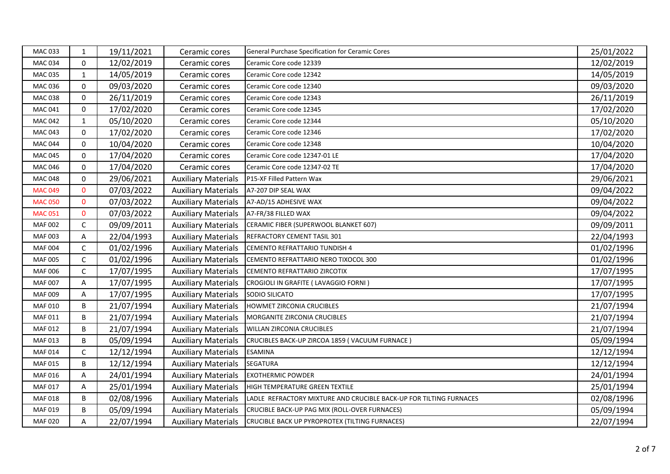| <b>MAC 033</b> | $\mathbf{1}$ | 19/11/2021 | Ceramic cores              | General Purchase Specification for Ceramic Cores                   | 25/01/2022 |
|----------------|--------------|------------|----------------------------|--------------------------------------------------------------------|------------|
| <b>MAC 034</b> | 0            | 12/02/2019 | Ceramic cores              | Ceramic Core code 12339                                            | 12/02/2019 |
| MAC 035        | $\mathbf{1}$ | 14/05/2019 | Ceramic cores              | Ceramic Core code 12342                                            | 14/05/2019 |
| <b>MAC 036</b> | 0            | 09/03/2020 | Ceramic cores              | Ceramic Core code 12340                                            | 09/03/2020 |
| <b>MAC 038</b> | 0            | 26/11/2019 | Ceramic cores              | Ceramic Core code 12343                                            | 26/11/2019 |
| <b>MAC 041</b> | 0            | 17/02/2020 | Ceramic cores              | Ceramic Core code 12345                                            | 17/02/2020 |
| <b>MAC 042</b> | $\mathbf{1}$ | 05/10/2020 | Ceramic cores              | Ceramic Core code 12344                                            | 05/10/2020 |
| <b>MAC 043</b> | 0            | 17/02/2020 | Ceramic cores              | Ceramic Core code 12346                                            | 17/02/2020 |
| <b>MAC 044</b> | 0            | 10/04/2020 | Ceramic cores              | Ceramic Core code 12348                                            | 10/04/2020 |
| <b>MAC 045</b> | 0            | 17/04/2020 | Ceramic cores              | Ceramic Core code 12347-01 LE                                      | 17/04/2020 |
| <b>MAC 046</b> | 0            | 17/04/2020 | Ceramic cores              | Ceramic Core code 12347-02 TE                                      | 17/04/2020 |
| <b>MAC 048</b> | 0            | 29/06/2021 | <b>Auxiliary Materials</b> | P15-XF Filled Pattern Wax                                          | 29/06/2021 |
| <b>MAC 049</b> | $\mathbf{0}$ | 07/03/2022 | <b>Auxiliary Materials</b> | A7-207 DIP SEAL WAX                                                | 09/04/2022 |
| <b>MAC 050</b> | $\mathbf{0}$ | 07/03/2022 | <b>Auxiliary Materials</b> | A7-AD/15 ADHESIVE WAX                                              | 09/04/2022 |
| <b>MAC 051</b> | $\mathbf{0}$ | 07/03/2022 | <b>Auxiliary Materials</b> | A7-FR/38 FILLED WAX                                                | 09/04/2022 |
| <b>MAF 002</b> | C            | 09/09/2011 | <b>Auxiliary Materials</b> | CERAMIC FIBER (SUPERWOOL BLANKET 607)                              | 09/09/2011 |
| MAF 003        | Α            | 22/04/1993 | <b>Auxiliary Materials</b> | REFRACTORY CEMENT TASIL 301                                        | 22/04/1993 |
| <b>MAF 004</b> | C            | 01/02/1996 | <b>Auxiliary Materials</b> | CEMENTO REFRATTARIO TUNDISH 4                                      | 01/02/1996 |
| <b>MAF 005</b> | $\mathsf C$  | 01/02/1996 | <b>Auxiliary Materials</b> | CEMENTO REFRATTARIO NERO TIXOCOL 300                               | 01/02/1996 |
| <b>MAF 006</b> | C            | 17/07/1995 | <b>Auxiliary Materials</b> | CEMENTO REFRATTARIO ZIRCOTIX                                       | 17/07/1995 |
| MAF 007        | Α            | 17/07/1995 | <b>Auxiliary Materials</b> | CROGIOLI IN GRAFITE ( LAVAGGIO FORNI )                             | 17/07/1995 |
| MAF 009        | Α            | 17/07/1995 | <b>Auxiliary Materials</b> | SODIO SILICATO                                                     | 17/07/1995 |
| <b>MAF 010</b> | B            | 21/07/1994 | <b>Auxiliary Materials</b> | HOWMET ZIRCONIA CRUCIBLES                                          | 21/07/1994 |
| <b>MAF 011</b> | B            | 21/07/1994 | <b>Auxiliary Materials</b> | MORGANITE ZIRCONIA CRUCIBLES                                       | 21/07/1994 |
| MAF 012        | B            | 21/07/1994 | <b>Auxiliary Materials</b> | WILLAN ZIRCONIA CRUCIBLES                                          | 21/07/1994 |
| MAF 013        | В            | 05/09/1994 | <b>Auxiliary Materials</b> | CRUCIBLES BACK-UP ZIRCOA 1859 (VACUUM FURNACE)                     | 05/09/1994 |
| <b>MAF 014</b> | C            | 12/12/1994 | <b>Auxiliary Materials</b> | <b>ESAMINA</b>                                                     | 12/12/1994 |
| <b>MAF 015</b> | B            | 12/12/1994 | <b>Auxiliary Materials</b> | SEGATURA                                                           | 12/12/1994 |
| <b>MAF 016</b> | A            | 24/01/1994 | <b>Auxiliary Materials</b> | <b>EXOTHERMIC POWDER</b>                                           | 24/01/1994 |
| <b>MAF 017</b> | Α            | 25/01/1994 | <b>Auxiliary Materials</b> | HIGH TEMPERATURE GREEN TEXTILE                                     | 25/01/1994 |
| <b>MAF 018</b> | B            | 02/08/1996 | <b>Auxiliary Materials</b> | LADLE REFRACTORY MIXTURE AND CRUCIBLE BACK-UP FOR TILTING FURNACES | 02/08/1996 |
| MAF 019        | В            | 05/09/1994 | <b>Auxiliary Materials</b> | CRUCIBLE BACK-UP PAG MIX (ROLL-OVER FURNACES)                      | 05/09/1994 |
| <b>MAF 020</b> | A            | 22/07/1994 | <b>Auxiliary Materials</b> | CRUCIBLE BACK UP PYROPROTEX (TILTING FURNACES)                     | 22/07/1994 |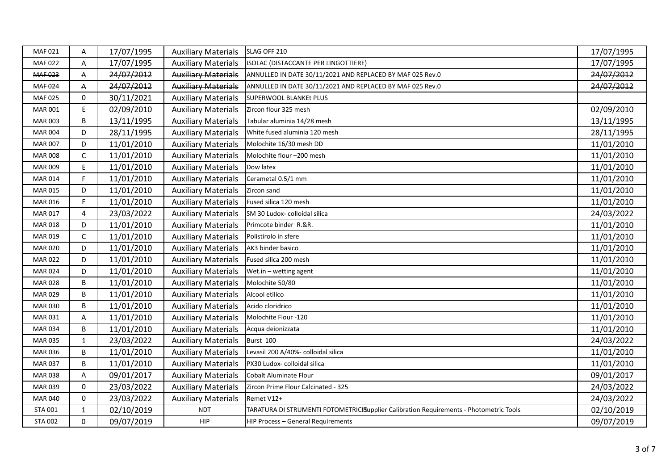| <b>MAF 021</b> | Α            | 17/07/1995 | <b>Auxiliary Materials</b> | SLAG OFF 210                                                                           | 17/07/1995 |
|----------------|--------------|------------|----------------------------|----------------------------------------------------------------------------------------|------------|
| MAF 022        | Α            | 17/07/1995 | <b>Auxiliary Materials</b> | ISOLAC (DISTACCANTE PER LINGOTTIERE)                                                   | 17/07/1995 |
| <b>MAF 023</b> | А            | 24/07/2012 | <b>Auxiliary Materials</b> | ANNULLED IN DATE 30/11/2021 AND REPLACED BY MAF 025 Rev.0                              | 24/07/2012 |
| <b>MAF 024</b> | А            | 24/07/2012 | <b>Auxiliary Materials</b> | ANNULLED IN DATE 30/11/2021 AND REPLACED BY MAF 025 Rev.0                              | 24/07/2012 |
| MAF 025        | $\mathbf 0$  | 30/11/2021 | <b>Auxiliary Materials</b> | <b>SUPERWOOL BLANKEt PLUS</b>                                                          |            |
| <b>MAR 001</b> | $\mathsf E$  | 02/09/2010 | <b>Auxiliary Materials</b> | Zircon flour 325 mesh                                                                  | 02/09/2010 |
| <b>MAR 003</b> | B            | 13/11/1995 | <b>Auxiliary Materials</b> | Tabular aluminia 14/28 mesh                                                            | 13/11/1995 |
| <b>MAR 004</b> | D            | 28/11/1995 | <b>Auxiliary Materials</b> | White fused aluminia 120 mesh                                                          | 28/11/1995 |
| <b>MAR 007</b> | D            | 11/01/2010 | <b>Auxiliary Materials</b> | Molochite 16/30 mesh DD                                                                | 11/01/2010 |
| <b>MAR 008</b> | $\mathsf{C}$ | 11/01/2010 | <b>Auxiliary Materials</b> | Molochite flour -200 mesh                                                              | 11/01/2010 |
| <b>MAR 009</b> | E            | 11/01/2010 | <b>Auxiliary Materials</b> | Dow latex                                                                              | 11/01/2010 |
| <b>MAR 014</b> | F.           | 11/01/2010 | <b>Auxiliary Materials</b> | Cerametal 0.5/1 mm                                                                     | 11/01/2010 |
| <b>MAR 015</b> | D            | 11/01/2010 | <b>Auxiliary Materials</b> | Zircon sand                                                                            | 11/01/2010 |
| <b>MAR 016</b> | F.           | 11/01/2010 | <b>Auxiliary Materials</b> | Fused silica 120 mesh                                                                  | 11/01/2010 |
| <b>MAR 017</b> | 4            | 23/03/2022 | <b>Auxiliary Materials</b> | SM 30 Ludox- colloidal silica                                                          | 24/03/2022 |
| <b>MAR 018</b> | D            | 11/01/2010 | <b>Auxiliary Materials</b> | Primcote binder R.&R.                                                                  | 11/01/2010 |
| MAR 019        | C            | 11/01/2010 | <b>Auxiliary Materials</b> | Polistirolo in sfere                                                                   | 11/01/2010 |
| <b>MAR 020</b> | D            | 11/01/2010 | <b>Auxiliary Materials</b> | AK3 binder basico                                                                      | 11/01/2010 |
| <b>MAR 022</b> | D            | 11/01/2010 | <b>Auxiliary Materials</b> | Fused silica 200 mesh                                                                  | 11/01/2010 |
| <b>MAR 024</b> | D            | 11/01/2010 | <b>Auxiliary Materials</b> | Wet.in - wetting agent                                                                 | 11/01/2010 |
| <b>MAR 028</b> | B            | 11/01/2010 | <b>Auxiliary Materials</b> | Molochite 50/80                                                                        | 11/01/2010 |
| <b>MAR 029</b> | B            | 11/01/2010 | <b>Auxiliary Materials</b> | Alcool etilico                                                                         | 11/01/2010 |
| <b>MAR 030</b> | B            | 11/01/2010 | <b>Auxiliary Materials</b> | Acido cloridrico                                                                       | 11/01/2010 |
| <b>MAR 031</b> | Α            | 11/01/2010 | <b>Auxiliary Materials</b> | Molochite Flour -120                                                                   | 11/01/2010 |
| <b>MAR 034</b> | B            | 11/01/2010 | <b>Auxiliary Materials</b> | Acqua deionizzata                                                                      | 11/01/2010 |
| <b>MAR 035</b> | 1            | 23/03/2022 | <b>Auxiliary Materials</b> | Burst 100                                                                              | 24/03/2022 |
| <b>MAR 036</b> | B            | 11/01/2010 | <b>Auxiliary Materials</b> | Levasil 200 A/40%- colloidal silica                                                    | 11/01/2010 |
| <b>MAR 037</b> | B            | 11/01/2010 | <b>Auxiliary Materials</b> | PX30 Ludox- colloidal silica                                                           | 11/01/2010 |
| <b>MAR 038</b> | A            | 09/01/2017 | <b>Auxiliary Materials</b> | <b>Cobalt Aluminate Flour</b>                                                          | 09/01/2017 |
| <b>MAR 039</b> | $\mathbf 0$  | 23/03/2022 | <b>Auxiliary Materials</b> | Zircon Prime Flour Calcinated - 325                                                    | 24/03/2022 |
| <b>MAR 040</b> | $\mathbf 0$  | 23/03/2022 | <b>Auxiliary Materials</b> | Remet V12+                                                                             | 24/03/2022 |
| STA 001        | $\mathbf{1}$ | 02/10/2019 | <b>NDT</b>                 | TARATURA DI STRUMENTI FOTOMETRICINupplier Calibration Requirements - Photometric Tools | 02/10/2019 |
| <b>STA 002</b> | $\mathbf{0}$ | 09/07/2019 | <b>HIP</b>                 | HIP Process - General Requirements                                                     | 09/07/2019 |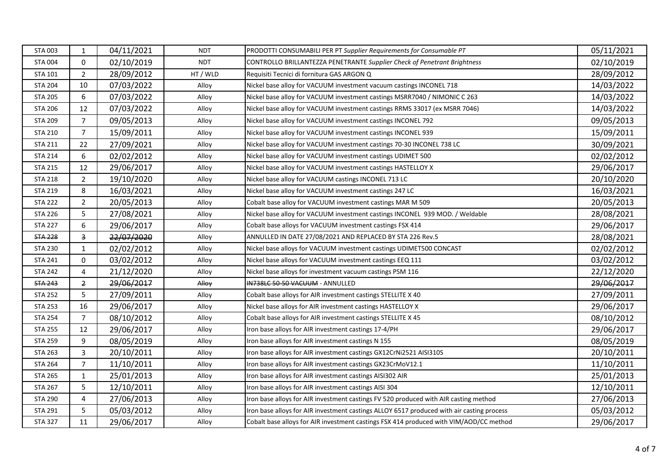| STA 003        | $\mathbf{1}$            | 04/11/2021 | <b>NDT</b> | PRODOTTI CONSUMABILI PER PT Supplier Requirements for Consumable PT                       | 05/11/2021 |
|----------------|-------------------------|------------|------------|-------------------------------------------------------------------------------------------|------------|
| <b>STA 004</b> | 0                       | 02/10/2019 | <b>NDT</b> | CONTROLLO BRILLANTEZZA PENETRANTE Supplier Check of Penetrant Brightness                  | 02/10/2019 |
| <b>STA 101</b> | 2                       | 28/09/2012 | HT / WLD   | Requisiti Tecnici di fornitura GAS ARGON Q                                                | 28/09/2012 |
| <b>STA 204</b> | 10                      | 07/03/2022 | Alloy      | Nickel base alloy for VACUUM investment vacuum castings INCONEL 718                       | 14/03/2022 |
| <b>STA 205</b> | 6                       | 07/03/2022 | Alloy      | Nickel base alloy for VACUUM investment castings MSRR7040 / NIMONIC C 263                 | 14/03/2022 |
| <b>STA 206</b> | 12                      | 07/03/2022 | Alloy      | Nickel base alloy for VACUUM investment castings RRMS 33017 (ex MSRR 7046)                | 14/03/2022 |
| <b>STA 209</b> | $\overline{7}$          | 09/05/2013 | Alloy      | Nickel base alloy for VACUUM investment castings INCONEL 792                              | 09/05/2013 |
| <b>STA 210</b> | $\overline{7}$          | 15/09/2011 | Alloy      | Nickel base alloy for VACUUM investment castings INCONEL 939                              | 15/09/2011 |
| <b>STA 211</b> | 22                      | 27/09/2021 | Alloy      | Nickel base alloy for VACUUM investment castings 70-30 INCONEL 738 LC                     | 30/09/2021 |
| <b>STA 214</b> | 6                       | 02/02/2012 | Alloy      | Nickel base alloy for VACUUM investment castings UDIMET 500                               | 02/02/2012 |
| <b>STA 215</b> | 12                      | 29/06/2017 | Alloy      | Nickel base alloy for VACUUM investment castings HASTELLOY X                              | 29/06/2017 |
| <b>STA 218</b> | 2                       | 19/10/2020 | Alloy      | Nickel base alloy for VACUUM castings INCONEL 713 LC                                      | 20/10/2020 |
| <b>STA 219</b> | 8                       | 16/03/2021 | Alloy      | Nickel base alloy for VACUUM investment castings 247 LC                                   | 16/03/2021 |
| <b>STA 222</b> | $\overline{2}$          | 20/05/2013 | Alloy      | Cobalt base alloy for VACUUM investment castings MAR M 509                                | 20/05/2013 |
| <b>STA 226</b> | 5                       | 27/08/2021 | Alloy      | Nickel base alloy for VACUUM investment castings INCONEL 939 MOD. / Weldable              | 28/08/2021 |
| <b>STA 227</b> | 6                       | 29/06/2017 | Alloy      | Cobalt base alloys for VACUUM investment castings FSX 414                                 | 29/06/2017 |
| <b>STA 228</b> | $\overline{\mathbf{3}}$ | 22/07/2020 | Alloy      | ANNULLED IN DATE 27/08/2021 AND REPLACED BY STA 226 Rev.5                                 | 28/08/2021 |
| <b>STA 230</b> | $\mathbf{1}$            | 02/02/2012 | Alloy      | Nickel base alloys for VACUUM investment castings UDIMET500 CONCAST                       | 02/02/2012 |
| <b>STA 241</b> | $\mathbf{0}$            | 03/02/2012 | Alloy      | Nickel base alloys for VACUUM investment castings EEQ 111                                 | 03/02/2012 |
| STA 242        | 4                       | 21/12/2020 | Alloy      | Nickel base alloys for investment vacuum castings PSM 116                                 | 22/12/2020 |
| <b>STA 243</b> | $\overline{2}$          | 29/06/2017 | Alloy      | IN738LC 50-50 VACUUM - ANNULLED                                                           | 29/06/2017 |
| <b>STA 252</b> | 5                       | 27/09/2011 | Alloy      | Cobalt base alloys for AIR investment castings STELLITE X 40                              | 27/09/2011 |
| <b>STA 253</b> | 16                      | 29/06/2017 | Alloy      | Nickel base alloys for AIR investment castings HASTELLOY X                                | 29/06/2017 |
| <b>STA 254</b> | 7                       | 08/10/2012 | Alloy      | Cobalt base alloys for AIR investment castings STELLITE X 45                              | 08/10/2012 |
| <b>STA 255</b> | 12                      | 29/06/2017 | Alloy      | Iron base alloys for AIR investment castings 17-4/PH                                      | 29/06/2017 |
| <b>STA 259</b> | 9                       | 08/05/2019 | Alloy      | Iron base alloys for AIR investment castings N 155                                        | 08/05/2019 |
| <b>STA 263</b> | 3                       | 20/10/2011 | Alloy      | Iron base alloys for AIR investment castings GX12CrNi2521 AISI310S                        | 20/10/2011 |
| <b>STA 264</b> | $\overline{7}$          | 11/10/2011 | Alloy      | Iron base alloys for AIR investment castings GX23CrMoV12.1                                | 11/10/2011 |
| <b>STA 265</b> | $\mathbf{1}$            | 25/01/2013 | Alloy      | Iron base alloys for AIR investment castings AISI302 AIR                                  | 25/01/2013 |
| <b>STA 267</b> | 5                       | 12/10/2011 | Alloy      | Iron base alloys for AIR investment castings AISI 304                                     | 12/10/2011 |
| <b>STA 290</b> | 4                       | 27/06/2013 | Alloy      | Iron base alloys for AIR investment castings FV 520 produced with AIR casting method      | 27/06/2013 |
| <b>STA 291</b> | 5                       | 05/03/2012 | Alloy      | Iron base alloys for AIR investment castings ALLOY 6517 produced with air casting process | 05/03/2012 |
| <b>STA 327</b> | 11                      | 29/06/2017 | Alloy      | Cobalt base alloys for AIR investment castings FSX 414 produced with VIM/AOD/CC method    | 29/06/2017 |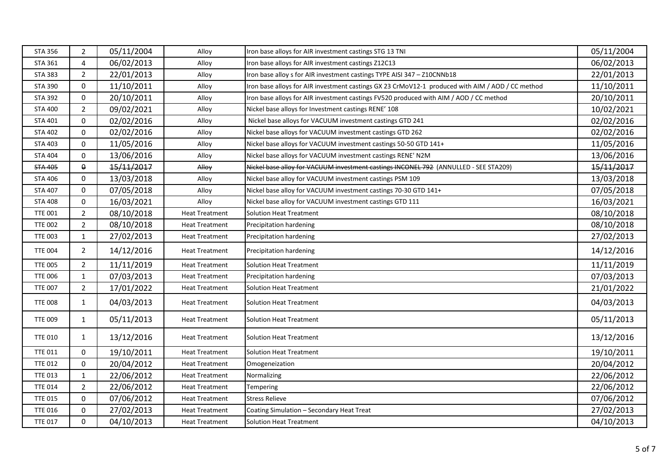| <b>STA 356</b> | $\overline{2}$ | 05/11/2004 | Alloy                 | Iron base alloys for AIR investment castings STG 13 TNI                                          | 05/11/2004 |
|----------------|----------------|------------|-----------------------|--------------------------------------------------------------------------------------------------|------------|
| STA 361        | $\overline{4}$ | 06/02/2013 | Alloy                 | Iron base alloys for AIR investment castings Z12C13                                              | 06/02/2013 |
| <b>STA 383</b> | $\overline{2}$ | 22/01/2013 | Alloy                 | Iron base alloy s for AIR investment castings TYPE AISI 347 - Z10CNNb18                          | 22/01/2013 |
| <b>STA 390</b> | 0              | 11/10/2011 | Alloy                 | Iron base alloys for AIR investment castings GX 23 CrMoV12-1 produced with AIM / AOD / CC method | 11/10/2011 |
| <b>STA 392</b> | $\mathbf 0$    | 20/10/2011 | Alloy                 | Iron base alloys for AIR investment castings FV520 produced with AIM / AOD / CC method           | 20/10/2011 |
| <b>STA 400</b> | $\overline{2}$ | 09/02/2021 | Alloy                 | Nickel base alloys for Investment castings RENE' 108                                             | 10/02/2021 |
| <b>STA 401</b> | 0              | 02/02/2016 | Alloy                 | Nickel base alloys for VACUUM investment castings GTD 241                                        | 02/02/2016 |
| <b>STA 402</b> | $\mathbf 0$    | 02/02/2016 | Alloy                 | Nickel base alloys for VACUUM investment castings GTD 262                                        | 02/02/2016 |
| <b>STA 403</b> | $\mathbf{0}$   | 11/05/2016 | Alloy                 | Nickel base alloys for VACUUM investment castings 50-50 GTD 141+                                 | 11/05/2016 |
| <b>STA 404</b> | $\mathbf 0$    | 13/06/2016 | Alloy                 | Nickel base alloys for VACUUM investment castings RENE' N2M                                      | 13/06/2016 |
| <b>STA 405</b> | $\theta$       | 15/11/2017 | Alley                 | Nickel base alloy for VACUUM investment castings INCONEL 792 (ANNULLED - SEE STA209)             | 15/11/2017 |
| STA 406        | $\mathbf 0$    | 13/03/2018 | Alloy                 | Nickel base alloy for VACUUM investment castings PSM 109                                         | 13/03/2018 |
| <b>STA 407</b> | $\mathbf{0}$   | 07/05/2018 | Alloy                 | Nickel base alloy for VACUUM investment castings 70-30 GTD 141+                                  | 07/05/2018 |
| <b>STA 408</b> | $\mathbf{0}$   | 16/03/2021 | Alloy                 | Nickel base alloy for VACUUM investment castings GTD 111                                         | 16/03/2021 |
| <b>TTE 001</b> | $\overline{2}$ | 08/10/2018 | <b>Heat Treatment</b> | <b>Solution Heat Treatment</b>                                                                   | 08/10/2018 |
| <b>TTE 002</b> | $\overline{2}$ | 08/10/2018 | <b>Heat Treatment</b> | Precipitation hardening                                                                          | 08/10/2018 |
| <b>TTE 003</b> | $\mathbf{1}$   | 27/02/2013 | <b>Heat Treatment</b> | Precipitation hardening                                                                          | 27/02/2013 |
| <b>TTE 004</b> | $\overline{2}$ | 14/12/2016 | <b>Heat Treatment</b> | Precipitation hardening                                                                          | 14/12/2016 |
| <b>TTE 005</b> | $\overline{2}$ | 11/11/2019 | <b>Heat Treatment</b> | <b>Solution Heat Treatment</b>                                                                   | 11/11/2019 |
| <b>TTE 006</b> | $\mathbf{1}$   | 07/03/2013 | <b>Heat Treatment</b> | Precipitation hardening                                                                          | 07/03/2013 |
| <b>TTE 007</b> | $\overline{2}$ | 17/01/2022 | <b>Heat Treatment</b> | <b>Solution Heat Treatment</b>                                                                   | 21/01/2022 |
| <b>TTE 008</b> | $\mathbf{1}$   | 04/03/2013 | <b>Heat Treatment</b> | <b>Solution Heat Treatment</b>                                                                   | 04/03/2013 |
| <b>TTE 009</b> | $\mathbf{1}$   | 05/11/2013 | <b>Heat Treatment</b> | <b>Solution Heat Treatment</b>                                                                   | 05/11/2013 |
| <b>TTE 010</b> | $\mathbf{1}$   | 13/12/2016 | <b>Heat Treatment</b> | <b>Solution Heat Treatment</b>                                                                   | 13/12/2016 |
| <b>TTE 011</b> | 0              | 19/10/2011 | <b>Heat Treatment</b> | <b>Solution Heat Treatment</b>                                                                   | 19/10/2011 |
| <b>TTE 012</b> | $\mathbf 0$    | 20/04/2012 | <b>Heat Treatment</b> | Omogeneization                                                                                   | 20/04/2012 |
| <b>TTE 013</b> | $\mathbf{1}$   | 22/06/2012 | <b>Heat Treatment</b> | Normalizing                                                                                      | 22/06/2012 |
| <b>TTE 014</b> | $\overline{2}$ | 22/06/2012 | <b>Heat Treatment</b> | Tempering                                                                                        | 22/06/2012 |
| <b>TTE 015</b> | 0              | 07/06/2012 | <b>Heat Treatment</b> | <b>Stress Relieve</b>                                                                            | 07/06/2012 |
| <b>TTE 016</b> | 0              | 27/02/2013 | <b>Heat Treatment</b> | Coating Simulation - Secondary Heat Treat                                                        | 27/02/2013 |
| <b>TTE 017</b> | $\mathbf{0}$   | 04/10/2013 | <b>Heat Treatment</b> | <b>Solution Heat Treatment</b>                                                                   | 04/10/2013 |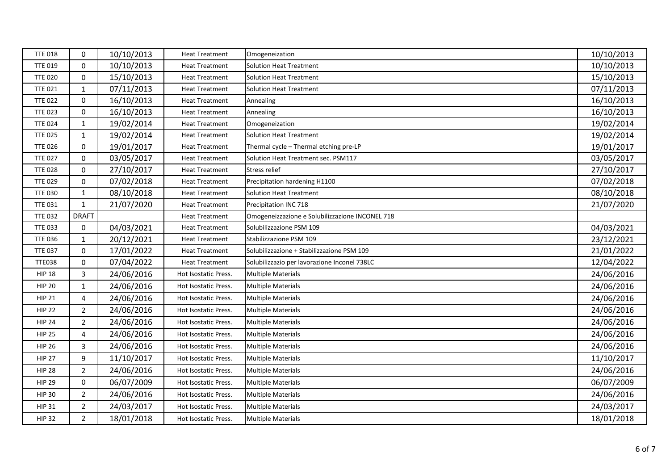| <b>TTE 018</b> | $\mathbf{0}$   | 10/10/2013 | <b>Heat Treatment</b> | Omogeneization                                  | 10/10/2013 |
|----------------|----------------|------------|-----------------------|-------------------------------------------------|------------|
| <b>TTE 019</b> | $\mathbf 0$    | 10/10/2013 | <b>Heat Treatment</b> | <b>Solution Heat Treatment</b>                  | 10/10/2013 |
| <b>TTE 020</b> | $\mathbf 0$    | 15/10/2013 | <b>Heat Treatment</b> | <b>Solution Heat Treatment</b>                  | 15/10/2013 |
| <b>TTE 021</b> | $\mathbf{1}$   | 07/11/2013 | <b>Heat Treatment</b> | <b>Solution Heat Treatment</b>                  | 07/11/2013 |
| <b>TTE 022</b> | 0              | 16/10/2013 | <b>Heat Treatment</b> | Annealing                                       | 16/10/2013 |
| <b>TTE 023</b> | $\mathbf{0}$   | 16/10/2013 | <b>Heat Treatment</b> | Annealing                                       | 16/10/2013 |
| <b>TTE 024</b> | $\mathbf{1}$   | 19/02/2014 | <b>Heat Treatment</b> | Omogeneization                                  | 19/02/2014 |
| <b>TTE 025</b> | $\mathbf{1}$   | 19/02/2014 | <b>Heat Treatment</b> | <b>Solution Heat Treatment</b>                  | 19/02/2014 |
| <b>TTE 026</b> | $\mathbf 0$    | 19/01/2017 | <b>Heat Treatment</b> | Thermal cycle - Thermal etching pre-LP          | 19/01/2017 |
| <b>TTE 027</b> | 0              | 03/05/2017 | <b>Heat Treatment</b> | Solution Heat Treatment sec. PSM117             | 03/05/2017 |
| <b>TTE 028</b> | $\mathbf 0$    | 27/10/2017 | <b>Heat Treatment</b> | Stress relief                                   | 27/10/2017 |
| <b>TTE 029</b> | $\mathbf{0}$   | 07/02/2018 | <b>Heat Treatment</b> | Precipitation hardening H1100                   | 07/02/2018 |
| <b>TTE 030</b> | $\mathbf{1}$   | 08/10/2018 | <b>Heat Treatment</b> | <b>Solution Heat Treatment</b>                  | 08/10/2018 |
| <b>TTE 031</b> | $\mathbf{1}$   | 21/07/2020 | <b>Heat Treatment</b> | Precipitation INC 718                           | 21/07/2020 |
| <b>TTE 032</b> | <b>DRAFT</b>   |            | <b>Heat Treatment</b> | Omogeneizzazione e Solubilizzazione INCONEL 718 |            |
| <b>TTE 033</b> | $\mathbf 0$    | 04/03/2021 | <b>Heat Treatment</b> | Solubilizzazione PSM 109                        | 04/03/2021 |
| <b>TTE 036</b> | $\mathbf{1}$   | 20/12/2021 | <b>Heat Treatment</b> | Stabilizzazione PSM 109                         | 23/12/2021 |
| <b>TTE 037</b> | $\mathbf 0$    | 17/01/2022 | <b>Heat Treatment</b> | Solubilizzazione + Stabilizzazione PSM 109      | 21/01/2022 |
| <b>TTE038</b>  | $\mathbf{0}$   | 07/04/2022 | <b>Heat Treatment</b> | Solubilizzazio per lavorazione Inconel 738LC    | 12/04/2022 |
| <b>HIP 18</b>  | 3              | 24/06/2016 | Hot Isostatic Press.  | <b>Multiple Materials</b>                       | 24/06/2016 |
| <b>HIP 20</b>  | $\mathbf{1}$   | 24/06/2016 | Hot Isostatic Press.  | <b>Multiple Materials</b>                       | 24/06/2016 |
| <b>HIP 21</b>  | $\overline{4}$ | 24/06/2016 | Hot Isostatic Press.  | <b>Multiple Materials</b>                       | 24/06/2016 |
| <b>HIP 22</b>  | $\overline{2}$ | 24/06/2016 | Hot Isostatic Press.  | <b>Multiple Materials</b>                       | 24/06/2016 |
| <b>HIP 24</b>  | $\overline{2}$ | 24/06/2016 | Hot Isostatic Press.  | <b>Multiple Materials</b>                       | 24/06/2016 |
| <b>HIP 25</b>  | $\overline{4}$ | 24/06/2016 | Hot Isostatic Press.  | <b>Multiple Materials</b>                       | 24/06/2016 |
| <b>HIP 26</b>  | 3              | 24/06/2016 | Hot Isostatic Press.  | <b>Multiple Materials</b>                       | 24/06/2016 |
| <b>HIP 27</b>  | 9              | 11/10/2017 | Hot Isostatic Press.  | <b>Multiple Materials</b>                       | 11/10/2017 |
| <b>HIP 28</b>  | $\overline{2}$ | 24/06/2016 | Hot Isostatic Press.  | <b>Multiple Materials</b>                       | 24/06/2016 |
| <b>HIP 29</b>  | $\mathbf 0$    | 06/07/2009 | Hot Isostatic Press.  | <b>Multiple Materials</b>                       | 06/07/2009 |
| <b>HIP 30</b>  | $\overline{2}$ | 24/06/2016 | Hot Isostatic Press.  | <b>Multiple Materials</b>                       | 24/06/2016 |
| <b>HIP 31</b>  | $\overline{2}$ | 24/03/2017 | Hot Isostatic Press.  | <b>Multiple Materials</b>                       | 24/03/2017 |
| <b>HIP 32</b>  | $\overline{2}$ | 18/01/2018 | Hot Isostatic Press.  | <b>Multiple Materials</b>                       | 18/01/2018 |